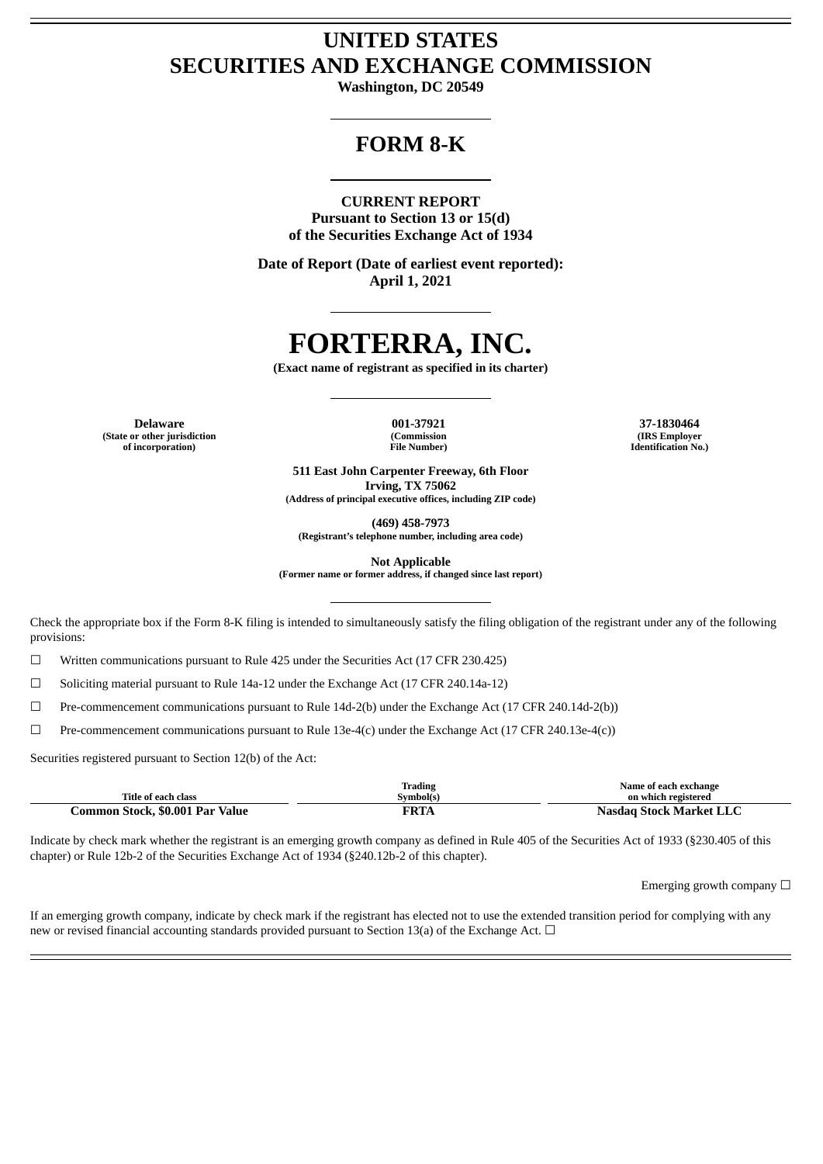# **UNITED STATES SECURITIES AND EXCHANGE COMMISSION**

**Washington, DC 20549**

# **FORM 8-K**

## **CURRENT REPORT**

**Pursuant to Section 13 or 15(d) of the Securities Exchange Act of 1934**

**Date of Report (Date of earliest event reported): April 1, 2021**

# **FORTERRA, INC.**

**(Exact name of registrant as specified in its charter)**

**(State or other jurisdiction of incorporation)**

**(Commission File Number)**

**Delaware 001-37921 37-1830464 (IRS Employer Identification No.)**

> **511 East John Carpenter Freeway, 6th Floor Irving, TX 75062 (Address of principal executive offices, including ZIP code)**

> > **(469) 458-7973**

**(Registrant's telephone number, including area code)**

**Not Applicable**

**(Former name or former address, if changed since last report)**

Check the appropriate box if the Form 8-K filing is intended to simultaneously satisfy the filing obligation of the registrant under any of the following provisions:

 $\Box$  Written communications pursuant to Rule 425 under the Securities Act (17 CFR 230.425)

 $\Box$  Soliciting material pursuant to Rule 14a-12 under the Exchange Act (17 CFR 240.14a-12)

☐ Pre-commencement communications pursuant to Rule 14d-2(b) under the Exchange Act (17 CFR 240.14d-2(b))

☐ Pre-commencement communications pursuant to Rule 13e-4(c) under the Exchange Act (17 CFR 240.13e-4(c))

Securities registered pursuant to Section 12(b) of the Act:

|                                 | <b>Trading</b> | Name of each exchange   |
|---------------------------------|----------------|-------------------------|
| Title of each class             | Symbol(s)      | on which registered     |
| Common Stock, \$0.001 Par Value | <b>TRTA</b>    | Nasdag Stock Market LLC |

Indicate by check mark whether the registrant is an emerging growth company as defined in Rule 405 of the Securities Act of 1933 (§230.405 of this chapter) or Rule 12b-2 of the Securities Exchange Act of 1934 (§240.12b-2 of this chapter).

Emerging growth company  $\Box$ 

If an emerging growth company, indicate by check mark if the registrant has elected not to use the extended transition period for complying with any new or revised financial accounting standards provided pursuant to Section 13(a) of the Exchange Act.  $\Box$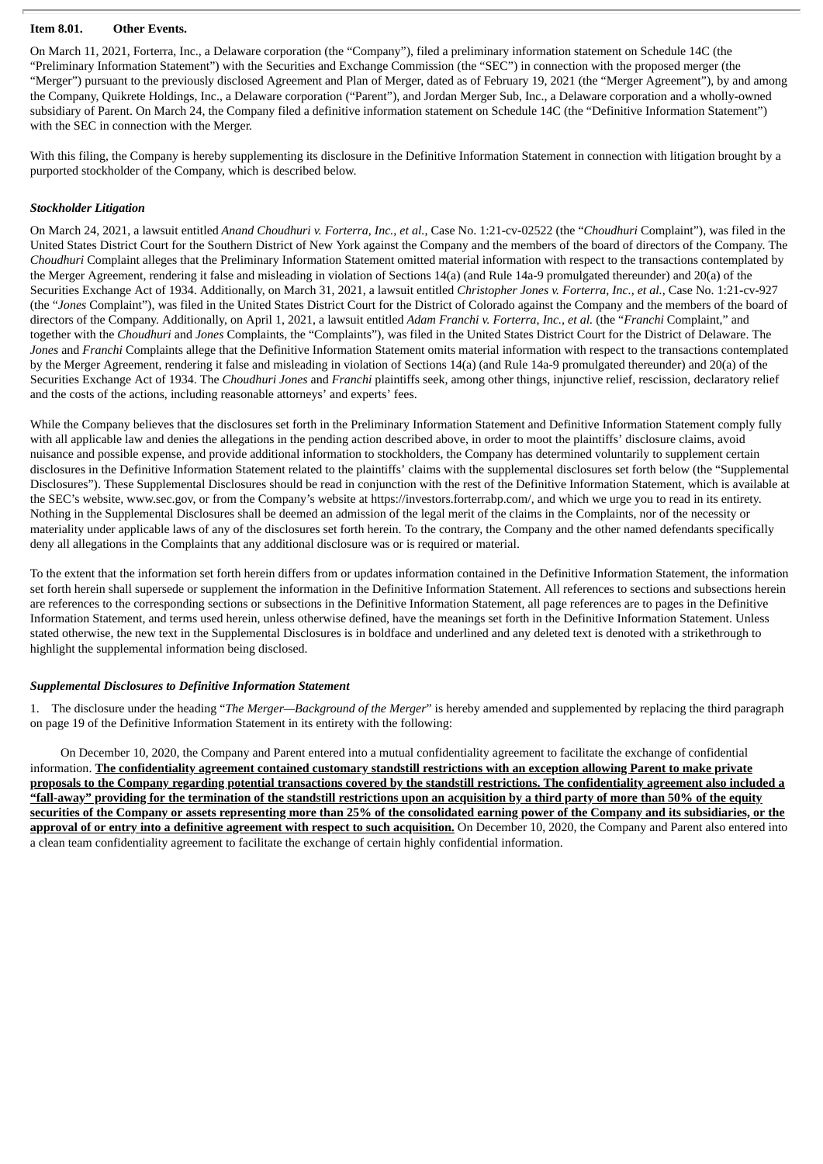#### **Item 8.01. Other Events.**

On March 11, 2021, Forterra, Inc., a Delaware corporation (the "Company"), filed a preliminary information statement on Schedule 14C (the "Preliminary Information Statement") with the Securities and Exchange Commission (the "SEC") in connection with the proposed merger (the "Merger") pursuant to the previously disclosed Agreement and Plan of Merger, dated as of February 19, 2021 (the "Merger Agreement"), by and among the Company, Quikrete Holdings, Inc., a Delaware corporation ("Parent"), and Jordan Merger Sub, Inc., a Delaware corporation and a wholly-owned subsidiary of Parent. On March 24, the Company filed a definitive information statement on Schedule 14C (the "Definitive Information Statement") with the SEC in connection with the Merger.

With this filing, the Company is hereby supplementing its disclosure in the Definitive Information Statement in connection with litigation brought by a purported stockholder of the Company, which is described below.

#### *Stockholder Litigation*

On March 24, 2021, a lawsuit entitled *Anand Choudhuri v. Forterra, Inc., et al.*, Case No. 1:21-cv-02522 (the "*Choudhuri* Complaint"), was filed in the United States District Court for the Southern District of New York against the Company and the members of the board of directors of the Company. The *Choudhuri* Complaint alleges that the Preliminary Information Statement omitted material information with respect to the transactions contemplated by the Merger Agreement, rendering it false and misleading in violation of Sections 14(a) (and Rule 14a-9 promulgated thereunder) and 20(a) of the Securities Exchange Act of 1934. Additionally, on March 31, 2021, a lawsuit entitled *Christopher Jones v. Forterra, Inc., et al.*, Case No. 1:21-cv-927 (the "*Jones* Complaint"), was filed in the United States District Court for the District of Colorado against the Company and the members of the board of directors of the Company. Additionally, on April 1, 2021, a lawsuit entitled *Adam Franchi v. Forterra, Inc., et al.* (the "*Franchi* Complaint," and together with the *Choudhuri* and *Jones* Complaints, the "Complaints"), was filed in the United States District Court for the District of Delaware. The *Jones* and *Franchi* Complaints allege that the Definitive Information Statement omits material information with respect to the transactions contemplated by the Merger Agreement, rendering it false and misleading in violation of Sections 14(a) (and Rule 14a-9 promulgated thereunder) and 20(a) of the Securities Exchange Act of 1934. The *Choudhuri Jones* and *Franchi* plaintiffs seek, among other things, injunctive relief, rescission, declaratory relief and the costs of the actions, including reasonable attorneys' and experts' fees.

While the Company believes that the disclosures set forth in the Preliminary Information Statement and Definitive Information Statement comply fully with all applicable law and denies the allegations in the pending action described above, in order to moot the plaintiffs' disclosure claims, avoid nuisance and possible expense, and provide additional information to stockholders, the Company has determined voluntarily to supplement certain disclosures in the Definitive Information Statement related to the plaintiffs' claims with the supplemental disclosures set forth below (the "Supplemental Disclosures"). These Supplemental Disclosures should be read in conjunction with the rest of the Definitive Information Statement, which is available at the SEC's website, www.sec.gov, or from the Company's website at https://investors.forterrabp.com/, and which we urge you to read in its entirety. Nothing in the Supplemental Disclosures shall be deemed an admission of the legal merit of the claims in the Complaints, nor of the necessity or materiality under applicable laws of any of the disclosures set forth herein. To the contrary, the Company and the other named defendants specifically deny all allegations in the Complaints that any additional disclosure was or is required or material.

To the extent that the information set forth herein differs from or updates information contained in the Definitive Information Statement, the information set forth herein shall supersede or supplement the information in the Definitive Information Statement. All references to sections and subsections herein are references to the corresponding sections or subsections in the Definitive Information Statement, all page references are to pages in the Definitive Information Statement, and terms used herein, unless otherwise defined, have the meanings set forth in the Definitive Information Statement. Unless stated otherwise, the new text in the Supplemental Disclosures is in boldface and underlined and any deleted text is denoted with a strikethrough to highlight the supplemental information being disclosed.

#### *Supplemental Disclosures to Definitive Information Statement*

1. The disclosure under the heading "*The Merger—Background of the Merger*" is hereby amended and supplemented by replacing the third paragraph on page 19 of the Definitive Information Statement in its entirety with the following:

On December 10, 2020, the Company and Parent entered into a mutual confidentiality agreement to facilitate the exchange of confidential information. The confidentiality agreement contained customary standstill restrictions with an exception allowing Parent to make private proposals to the Company regarding potential transactions covered by the standstill restrictions. The confidentiality agreement also included a "fall-away" providing for the termination of the standstill restrictions upon an acquisition by a third party of more than 50% of the equity securities of the Company or assets representing more than 25% of the consolidated earning power of the Company and its subsidiaries, or the approval of or entry into a definitive agreement with respect to such acquisition. On December 10, 2020, the Company and Parent also entered into a clean team confidentiality agreement to facilitate the exchange of certain highly confidential information.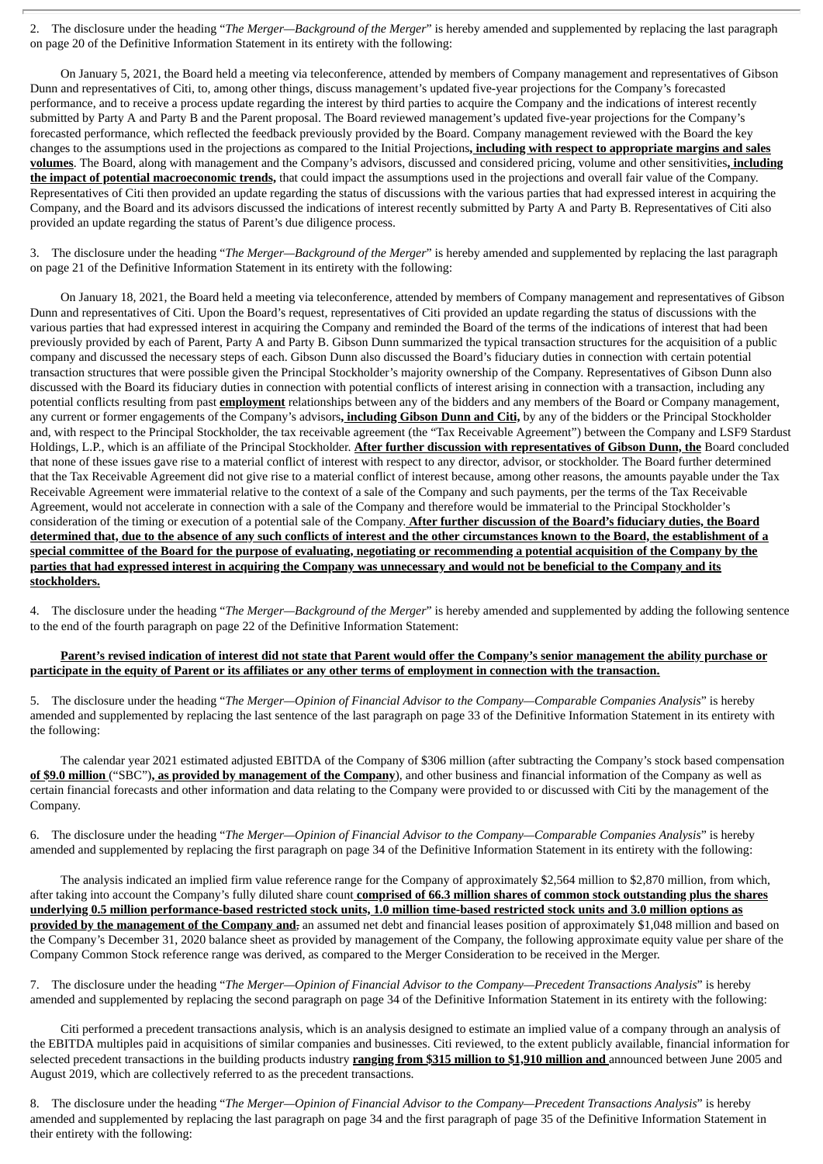2. The disclosure under the heading "*The Merger—Background of the Merger*" is hereby amended and supplemented by replacing the last paragraph on page 20 of the Definitive Information Statement in its entirety with the following:

On January 5, 2021, the Board held a meeting via teleconference, attended by members of Company management and representatives of Gibson Dunn and representatives of Citi, to, among other things, discuss management's updated five-year projections for the Company's forecasted performance, and to receive a process update regarding the interest by third parties to acquire the Company and the indications of interest recently submitted by Party A and Party B and the Parent proposal. The Board reviewed management's updated five-year projections for the Company's forecasted performance, which reflected the feedback previously provided by the Board. Company management reviewed with the Board the key changes to the assumptions used in the projections as compared to the Initial Projections**, including with respect to appropriate margins and sales volumes**. The Board, along with management and the Company's advisors, discussed and considered pricing, volume and other sensitivities**, including the impact of potential macroeconomic trends,** that could impact the assumptions used in the projections and overall fair value of the Company. Representatives of Citi then provided an update regarding the status of discussions with the various parties that had expressed interest in acquiring the Company, and the Board and its advisors discussed the indications of interest recently submitted by Party A and Party B. Representatives of Citi also provided an update regarding the status of Parent's due diligence process.

3. The disclosure under the heading "*The Merger—Background of the Merger*" is hereby amended and supplemented by replacing the last paragraph on page 21 of the Definitive Information Statement in its entirety with the following:

On January 18, 2021, the Board held a meeting via teleconference, attended by members of Company management and representatives of Gibson Dunn and representatives of Citi. Upon the Board's request, representatives of Citi provided an update regarding the status of discussions with the various parties that had expressed interest in acquiring the Company and reminded the Board of the terms of the indications of interest that had been previously provided by each of Parent, Party A and Party B. Gibson Dunn summarized the typical transaction structures for the acquisition of a public company and discussed the necessary steps of each. Gibson Dunn also discussed the Board's fiduciary duties in connection with certain potential transaction structures that were possible given the Principal Stockholder's majority ownership of the Company. Representatives of Gibson Dunn also discussed with the Board its fiduciary duties in connection with potential conflicts of interest arising in connection with a transaction, including any potential conflicts resulting from past **employment** relationships between any of the bidders and any members of the Board or Company management, any current or former engagements of the Company's advisors**, including Gibson Dunn and Citi,** by any of the bidders or the Principal Stockholder and, with respect to the Principal Stockholder, the tax receivable agreement (the "Tax Receivable Agreement") between the Company and LSF9 Stardust Holdings, L.P., which is an affiliate of the Principal Stockholder. **After further discussion with representatives of Gibson Dunn, the** Board concluded that none of these issues gave rise to a material conflict of interest with respect to any director, advisor, or stockholder. The Board further determined that the Tax Receivable Agreement did not give rise to a material conflict of interest because, among other reasons, the amounts payable under the Tax Receivable Agreement were immaterial relative to the context of a sale of the Company and such payments, per the terms of the Tax Receivable Agreement, would not accelerate in connection with a sale of the Company and therefore would be immaterial to the Principal Stockholder's consideration of the timing or execution of a potential sale of the Company. **After further discussion of the Board's fiduciary duties, the Board** determined that, due to the absence of any such conflicts of interest and the other circumstances known to the Board, the establishment of a special committee of the Board for the purpose of evaluating, negotiating or recommending a potential acquisition of the Company by the parties that had expressed interest in acquiring the Company was unnecessary and would not be beneficial to the Company and its **stockholders.**

4. The disclosure under the heading "*The Merger—Background of the Merger*" is hereby amended and supplemented by adding the following sentence to the end of the fourth paragraph on page 22 of the Definitive Information Statement:

## Parent's revised indication of interest did not state that Parent would offer the Company's senior management the ability purchase or participate in the equity of Parent or its affiliates or any other terms of employment in connection with the transaction.

5. The disclosure under the heading "*The Merger—Opinion of Financial Advisor to the Company—Comparable Companies Analysis*" is hereby amended and supplemented by replacing the last sentence of the last paragraph on page 33 of the Definitive Information Statement in its entirety with the following:

The calendar year 2021 estimated adjusted EBITDA of the Company of \$306 million (after subtracting the Company's stock based compensation **of \$9.0 million** ("SBC")**, as provided by management of the Company**), and other business and financial information of the Company as well as certain financial forecasts and other information and data relating to the Company were provided to or discussed with Citi by the management of the Company.

6. The disclosure under the heading "*The Merger—Opinion of Financial Advisor to the Company—Comparable Companies Analysis*" is hereby amended and supplemented by replacing the first paragraph on page 34 of the Definitive Information Statement in its entirety with the following:

The analysis indicated an implied firm value reference range for the Company of approximately \$2,564 million to \$2,870 million, from which, after taking into account the Company's fully diluted share count comprised of 66.3 million shares of common stock outstanding plus the shares underlying 0.5 million performance-based restricted stock units, 1.0 million time-based restricted stock units and 3.0 million options as **provided by the management of the Company and**, an assumed net debt and financial leases position of approximately \$1,048 million and based on the Company's December 31, 2020 balance sheet as provided by management of the Company, the following approximate equity value per share of the Company Common Stock reference range was derived, as compared to the Merger Consideration to be received in the Merger.

7. The disclosure under the heading "*The Merger—Opinion of Financial Advisor to the Company—Precedent Transactions Analysis*" is hereby amended and supplemented by replacing the second paragraph on page 34 of the Definitive Information Statement in its entirety with the following:

Citi performed a precedent transactions analysis, which is an analysis designed to estimate an implied value of a company through an analysis of the EBITDA multiples paid in acquisitions of similar companies and businesses. Citi reviewed, to the extent publicly available, financial information for selected precedent transactions in the building products industry **ranging from \$315 million to \$1,910 million and** announced between June 2005 and August 2019, which are collectively referred to as the precedent transactions.

8. The disclosure under the heading "*The Merger—Opinion of Financial Advisor to the Company—Precedent Transactions Analysis*" is hereby amended and supplemented by replacing the last paragraph on page 34 and the first paragraph of page 35 of the Definitive Information Statement in their entirety with the following: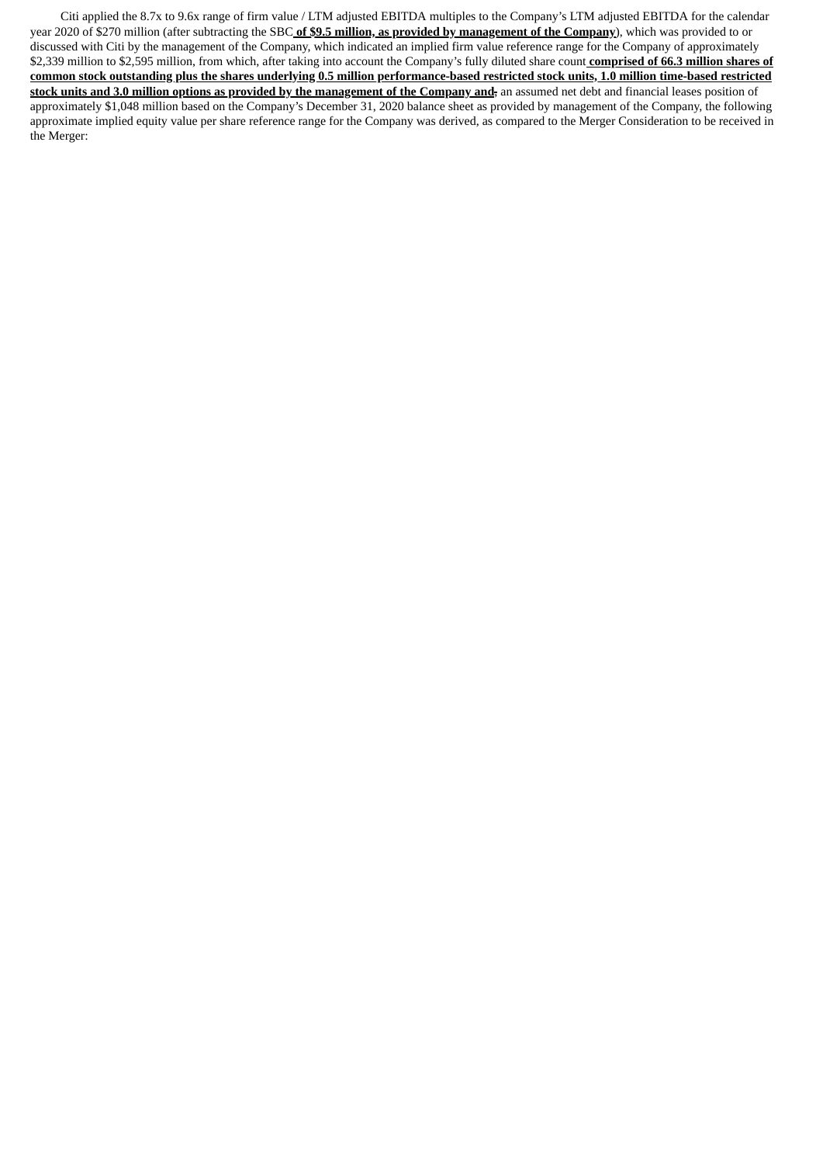Citi applied the 8.7x to 9.6x range of firm value / LTM adjusted EBITDA multiples to the Company's LTM adjusted EBITDA for the calendar year 2020 of \$270 million (after subtracting the SBC **of \$9.5 million, as provided by management of the Company**), which was provided to or discussed with Citi by the management of the Company, which indicated an implied firm value reference range for the Company of approximately \$2,339 million to \$2,595 million, from which, after taking into account the Company's fully diluted share count **comprised of 66.3 million shares of** common stock outstanding plus the shares underlying 0.5 million performance-based restricted stock units, 1.0 million time-based restricted stock units and 3.0 million options as provided by the management of the Company and, an assumed net debt and financial leases position of approximately \$1,048 million based on the Company's December 31, 2020 balance sheet as provided by management of the Company, the following approximate implied equity value per share reference range for the Company was derived, as compared to the Merger Consideration to be received in the Merger: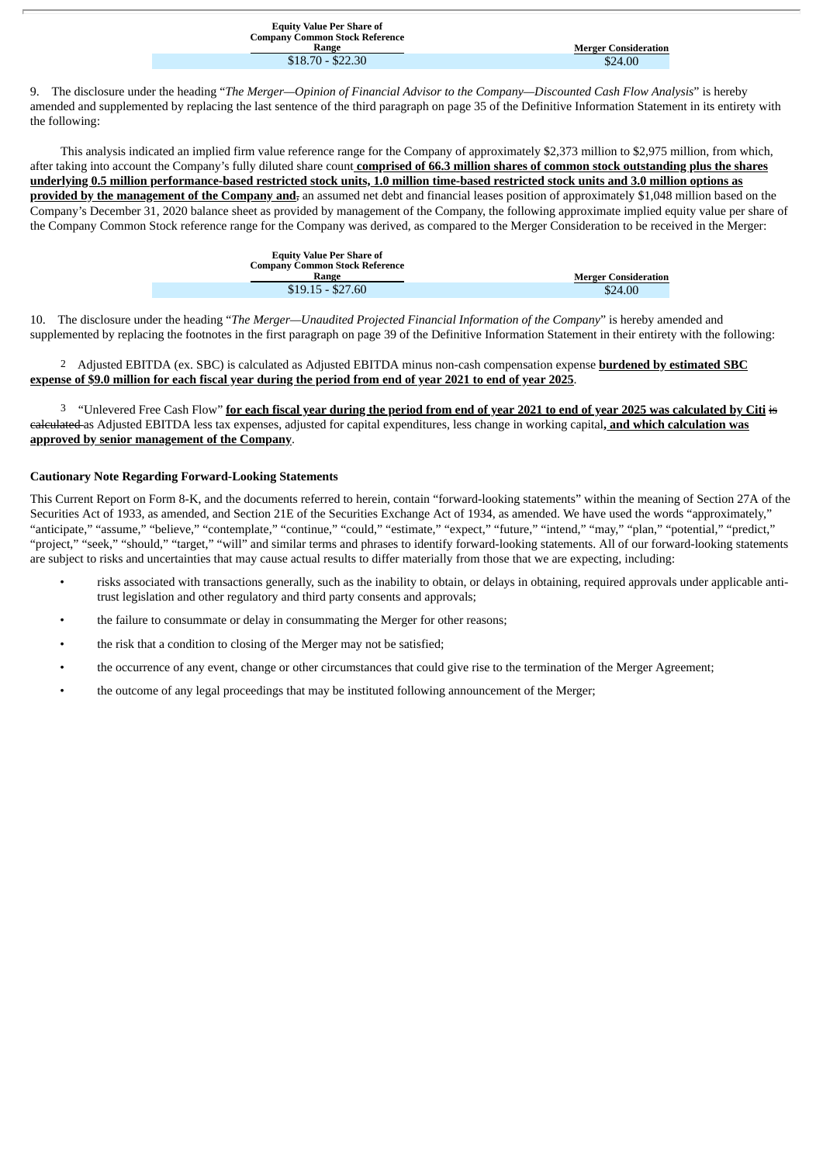**Equity Value Per Share of Company Common Stock Reference Range Merger Consideration**

 $$18.70 - $22.30$  \$22.30

9. The disclosure under the heading "*The Merger—Opinion of Financial Advisor to the Company—Discounted Cash Flow Analysis*" is hereby amended and supplemented by replacing the last sentence of the third paragraph on page 35 of the Definitive Information Statement in its entirety with the following:

This analysis indicated an implied firm value reference range for the Company of approximately \$2,373 million to \$2,975 million, from which, after taking into account the Company's fully diluted share count comprised of 66.3 million shares of common stock outstanding plus the shares underlying 0.5 million performance-based restricted stock units, 1.0 million time-based restricted stock units and 3.0 million options as **provided by the management of the Company and**, an assumed net debt and financial leases position of approximately \$1,048 million based on the Company's December 31, 2020 balance sheet as provided by management of the Company, the following approximate implied equity value per share of the Company Common Stock reference range for the Company was derived, as compared to the Merger Consideration to be received in the Merger:

| <b>Equity Value Per Share of</b><br><b>Company Common Stock Reference</b> |                             |
|---------------------------------------------------------------------------|-----------------------------|
| Range                                                                     | <b>Merger Consideration</b> |
| $$19.15 - $27.60$                                                         | \$24.00                     |

10. The disclosure under the heading "*The Merger—Unaudited Projected Financial Information of the Company*" is hereby amended and supplemented by replacing the footnotes in the first paragraph on page 39 of the Definitive Information Statement in their entirety with the following:

2 Adjusted EBITDA (ex. SBC) is calculated as Adjusted EBITDA minus non-cash compensation expense **burdened by estimated SBC** expense of \$9.0 million for each fiscal year during the period from end of year 2021 to end of year 2025.

<sup>3</sup> "Unlevered Free Cash Flow" for each fiscal year during the period from end of year 2021 to end of year 2025 was calculated by Citi is calculated as Adjusted EBITDA less tax expenses, adjusted for capital expenditures, less change in working capital**, and which calculation was approved by senior management of the Company**.

## **Cautionary Note Regarding Forward-Looking Statements**

This Current Report on Form 8-K, and the documents referred to herein, contain "forward-looking statements" within the meaning of Section 27A of the Securities Act of 1933, as amended, and Section 21E of the Securities Exchange Act of 1934, as amended. We have used the words "approximately," "anticipate," "assume," "believe," "contemplate," "continue," "could," "estimate," "expect," "future," "intend," "may," "plan," "potential," "predict," "project," "seek," "should," "target," "will" and similar terms and phrases to identify forward-looking statements. All of our forward-looking statements are subject to risks and uncertainties that may cause actual results to differ materially from those that we are expecting, including:

- risks associated with transactions generally, such as the inability to obtain, or delays in obtaining, required approvals under applicable antitrust legislation and other regulatory and third party consents and approvals;
- the failure to consummate or delay in consummating the Merger for other reasons;
- the risk that a condition to closing of the Merger may not be satisfied;
- the occurrence of any event, change or other circumstances that could give rise to the termination of the Merger Agreement;
- the outcome of any legal proceedings that may be instituted following announcement of the Merger;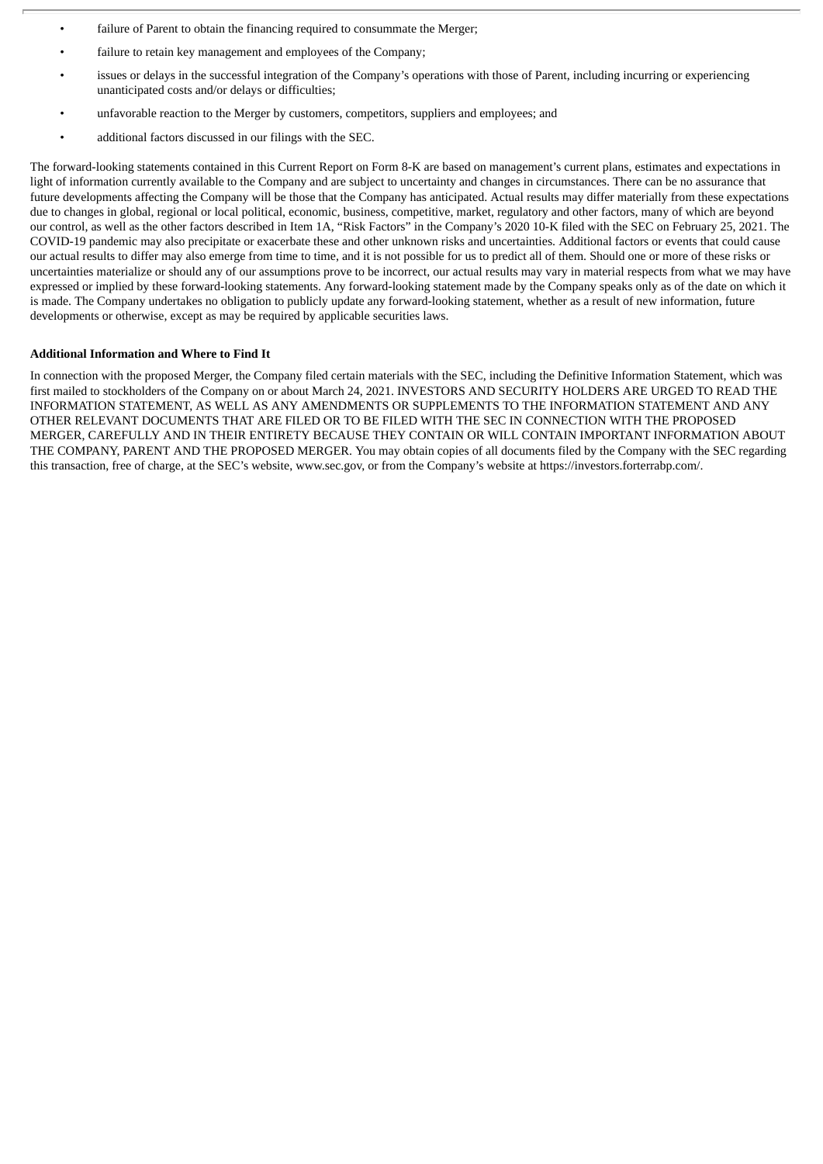- failure of Parent to obtain the financing required to consummate the Merger;
- failure to retain key management and employees of the Company;
- issues or delays in the successful integration of the Company's operations with those of Parent, including incurring or experiencing unanticipated costs and/or delays or difficulties;
- unfavorable reaction to the Merger by customers, competitors, suppliers and employees; and
- additional factors discussed in our filings with the SEC.

The forward-looking statements contained in this Current Report on Form 8-K are based on management's current plans, estimates and expectations in light of information currently available to the Company and are subject to uncertainty and changes in circumstances. There can be no assurance that future developments affecting the Company will be those that the Company has anticipated. Actual results may differ materially from these expectations due to changes in global, regional or local political, economic, business, competitive, market, regulatory and other factors, many of which are beyond our control, as well as the other factors described in Item 1A, "Risk Factors" in the Company's 2020 10-K filed with the SEC on February 25, 2021. The COVID-19 pandemic may also precipitate or exacerbate these and other unknown risks and uncertainties. Additional factors or events that could cause our actual results to differ may also emerge from time to time, and it is not possible for us to predict all of them. Should one or more of these risks or uncertainties materialize or should any of our assumptions prove to be incorrect, our actual results may vary in material respects from what we may have expressed or implied by these forward-looking statements. Any forward-looking statement made by the Company speaks only as of the date on which it is made. The Company undertakes no obligation to publicly update any forward-looking statement, whether as a result of new information, future developments or otherwise, except as may be required by applicable securities laws.

#### **Additional Information and Where to Find It**

In connection with the proposed Merger, the Company filed certain materials with the SEC, including the Definitive Information Statement, which was first mailed to stockholders of the Company on or about March 24, 2021. INVESTORS AND SECURITY HOLDERS ARE URGED TO READ THE INFORMATION STATEMENT, AS WELL AS ANY AMENDMENTS OR SUPPLEMENTS TO THE INFORMATION STATEMENT AND ANY OTHER RELEVANT DOCUMENTS THAT ARE FILED OR TO BE FILED WITH THE SEC IN CONNECTION WITH THE PROPOSED MERGER, CAREFULLY AND IN THEIR ENTIRETY BECAUSE THEY CONTAIN OR WILL CONTAIN IMPORTANT INFORMATION ABOUT THE COMPANY, PARENT AND THE PROPOSED MERGER. You may obtain copies of all documents filed by the Company with the SEC regarding this transaction, free of charge, at the SEC's website, www.sec.gov, or from the Company's website at https://investors.forterrabp.com/.